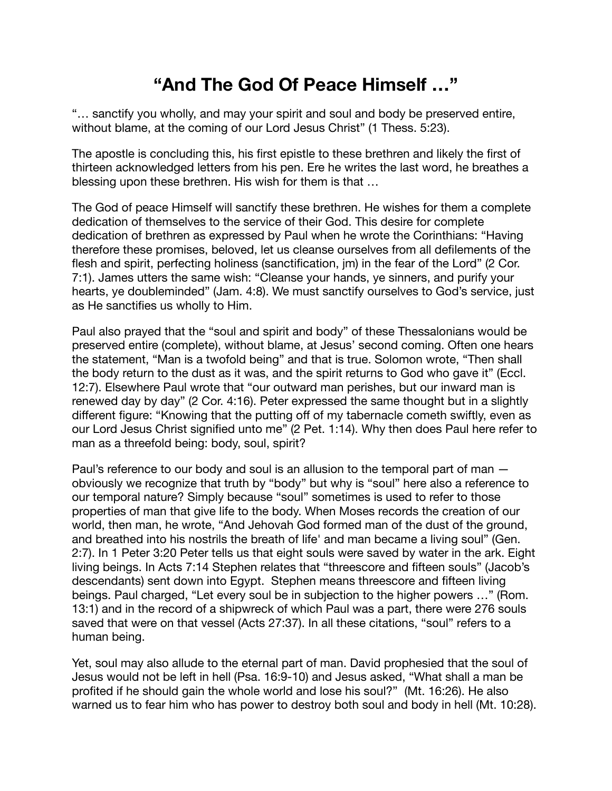## **"And The God Of Peace Himself …"**

"… sanctify you wholly, and may your spirit and soul and body be preserved entire, without blame, at the coming of our Lord Jesus Christ" (1 Thess. 5:23).

The apostle is concluding this, his first epistle to these brethren and likely the first of thirteen acknowledged letters from his pen. Ere he writes the last word, he breathes a blessing upon these brethren. His wish for them is that …

The God of peace Himself will sanctify these brethren. He wishes for them a complete dedication of themselves to the service of their God. This desire for complete dedication of brethren as expressed by Paul when he wrote the Corinthians: "Having therefore these promises, beloved, let us cleanse ourselves from all defilements of the flesh and spirit, perfecting holiness (sanctification, jm) in the fear of the Lord" (2 Cor. 7:1). James utters the same wish: "Cleanse your hands, ye sinners, and purify your hearts, ye doubleminded" (Jam. 4:8). We must sanctify ourselves to God's service, just as He sanctifies us wholly to Him.

Paul also prayed that the "soul and spirit and body" of these Thessalonians would be preserved entire (complete), without blame, at Jesus' second coming. Often one hears the statement, "Man is a twofold being" and that is true. Solomon wrote, "Then shall the body return to the dust as it was, and the spirit returns to God who gave it" (Eccl. 12:7). Elsewhere Paul wrote that "our outward man perishes, but our inward man is renewed day by day" (2 Cor. 4:16). Peter expressed the same thought but in a slightly different figure: "Knowing that the putting off of my tabernacle cometh swiftly, even as our Lord Jesus Christ signified unto me" (2 Pet. 1:14). Why then does Paul here refer to man as a threefold being: body, soul, spirit?

Paul's reference to our body and soul is an allusion to the temporal part of man obviously we recognize that truth by "body" but why is "soul" here also a reference to our temporal nature? Simply because "soul" sometimes is used to refer to those properties of man that give life to the body. When Moses records the creation of our world, then man, he wrote, "And Jehovah God formed man of the dust of the ground, and breathed into his nostrils the breath of life' and man became a living soul" (Gen. 2:7). In 1 Peter 3:20 Peter tells us that eight souls were saved by water in the ark. Eight living beings. In Acts 7:14 Stephen relates that "threescore and fifteen souls" (Jacob's descendants) sent down into Egypt. Stephen means threescore and fifteen living beings. Paul charged, "Let every soul be in subjection to the higher powers …" (Rom. 13:1) and in the record of a shipwreck of which Paul was a part, there were 276 souls saved that were on that vessel (Acts 27:37). In all these citations, "soul" refers to a human being.

Yet, soul may also allude to the eternal part of man. David prophesied that the soul of Jesus would not be left in hell (Psa. 16:9-10) and Jesus asked, "What shall a man be profited if he should gain the whole world and lose his soul?" (Mt. 16:26). He also warned us to fear him who has power to destroy both soul and body in hell (Mt. 10:28).